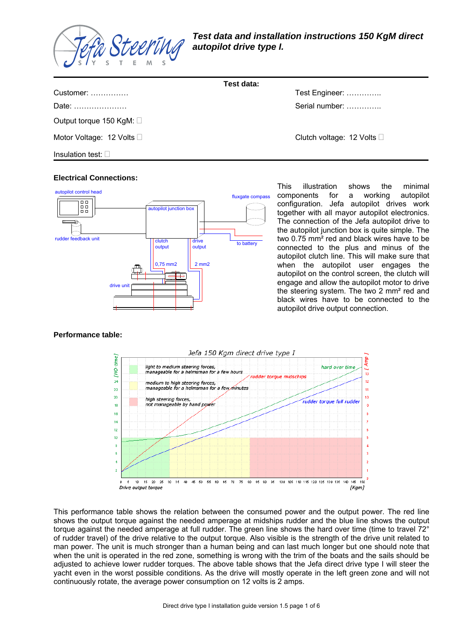

|                               | Test data:                         |
|-------------------------------|------------------------------------|
| Customer:                     | Test Engineer:                     |
| Date:                         | Serial number:                     |
| Output torque 150 KgM: $\Box$ |                                    |
| Motor Voltage: 12 Volts □     | Clutch voltage: 12 Volts $\square$ |
| Insulation test: $\square$    |                                    |

#### autopilot control head fluxgate compass  $\Box$  $\Box$  $\begin{array}{c} \square \; \square \\ \square \; \square \end{array}$ autopilot junction box rudder feedback unit clutch drive to battery output output 2 mm2 0,75 mm2 drive un

This illustration shows the minimal components for a working autopilot configuration. Jefa autopilot drives work together with all mayor autopilot electronics. The connection of the Jefa autopilot drive to the autopilot junction box is quite simple. The two 0.75 mm² red and black wires have to be connected to the plus and minus of the autopilot clutch line. This will make sure that when the autopilot user engages the autopilot on the control screen, the clutch will engage and allow the autopilot motor to drive the steering system. The two 2 mm² red and black wires have to be connected to the autopilot drive output connection.

# **Performance table:**

**Electrical Connections:**



This performance table shows the relation between the consumed power and the output power. The red line shows the output torque against the needed amperage at midships rudder and the blue line shows the output torque against the needed amperage at full rudder. The green line shows the hard over time (time to travel 72° of rudder travel) of the drive relative to the output torque. Also visible is the strength of the drive unit related to man power. The unit is much stronger than a human being and can last much longer but one should note that when the unit is operated in the red zone, something is wrong with the trim of the boats and the sails should be adjusted to achieve lower rudder torques. The above table shows that the Jefa direct drive type I will steer the yacht even in the worst possible conditions. As the drive will mostly operate in the left green zone and will not continuously rotate, the average power consumption on 12 volts is 2 amps.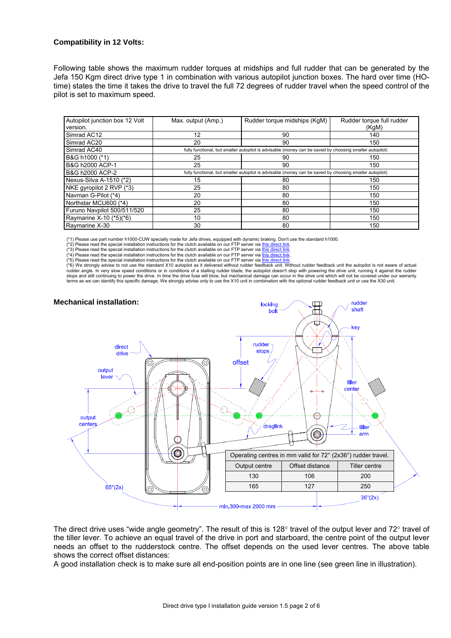### **Compatibility in 12 Volts:**

Following table shows the maximum rudder torques at midships and full rudder that can be generated by the Jefa 150 Kgm direct drive type 1 in combination with various autopilot junction boxes. The hard over time (HOtime) states the time it takes the drive to travel the full 72 degrees of rudder travel when the speed control of the pilot is set to maximum speed.

| Autopilot junction box 12 Volt<br>version. | Max. output (Amp.)                                                                                      | Rudder torque midships (KgM) | Rudder torque full rudder<br>(KgM) |
|--------------------------------------------|---------------------------------------------------------------------------------------------------------|------------------------------|------------------------------------|
| Simrad AC12                                | 12                                                                                                      | 90                           | 140                                |
| Simrad AC20                                | 20                                                                                                      | 90                           | 150                                |
| Simrad AC40                                | fully functional, but smaller autopilot is advisable (money can be saved by choosing smaller autopilot) |                              |                                    |
| B&G h1000 (*1)                             | 25                                                                                                      | 90                           | 150                                |
| B&G h2000 ACP-1                            | 25                                                                                                      | 90                           | 150                                |
| B&G h2000 ACP-2                            | fully functional, but smaller autopilot is advisable (money can be saved by choosing smaller autopilot) |                              |                                    |
| Nexus-Silva A-1510 (*2)                    | 15                                                                                                      | 80                           | 150                                |
| NKE gyropilot 2 RVP (*3)                   | 25                                                                                                      | 80                           | 150                                |
| Navman G-Pilot (*4)                        | 20                                                                                                      | 80                           | 150                                |
| Northstar MCU600 (*4)                      | 20                                                                                                      | 80                           | 150                                |
| Furuno Navpilot 500/511/520                | 25                                                                                                      | 80                           | 150                                |
| Raymarine X-10 (*5)(*6)                    | 10                                                                                                      | 80                           | 150                                |
| Raymarine X-30                             | 30                                                                                                      | 80                           | 150                                |

(\*1) Please use part number h1000-CUW specially made for Jefa drives, equipped with dynamic braking. Don't use the standard h1000.

(\*2) Please read the special installation instructions for the clutch available on our FTP server via <u>[this direct link](ftp://ftp.jefa.com/steering/installation-guides/NKE_clutch_instructions.pdf).</u><br>(\*3) Please read the special installation instructions for the clutch available on our FTP server vi

(\*4) Please read the special installation instructions for the clutch available on our FTP server via [this direct link](ftp://ftp.jefa.com/steering/installation-guides/general_clutch_install_instructions.pdf).  $(5)$  Please read the special installation instructions for the clutch available on our FTP server via [this direct link](ftp://ftp.jefa.com/steering/installation-guides/Raymarine_Smartpilot_X10_instructions.pdf).

(\*6) We strongly advise to not use the standard X10 autopilot as it delivered without rudder feedhat unit the autopilot is not aware of actual the sutopilot is not aware of actual autopilot as not aware of actual autopilot stops and still continuing to power the drive. In time the drive fuse will blow, but mechanical damage can occur in the drive unit which will not be covered under our warranty terms as we can identify this specific damage. We strongly advise only to use the X10 unit in combination with the optional rudder feedback unit or use the X30 unit.

rudder





The direct drive uses "wide angle geometry". The result of this is 128 $\degree$  travel of the output lever and 72 $\degree$  travel of the tiller lever. To achieve an equal travel of the drive in port and starboard, the centre point of the output lever needs an offset to the rudderstock centre. The offset depends on the used lever centres. The above table shows the correct offset distances:

A good installation check is to make sure all end-position points are in one line (see green line in illustration).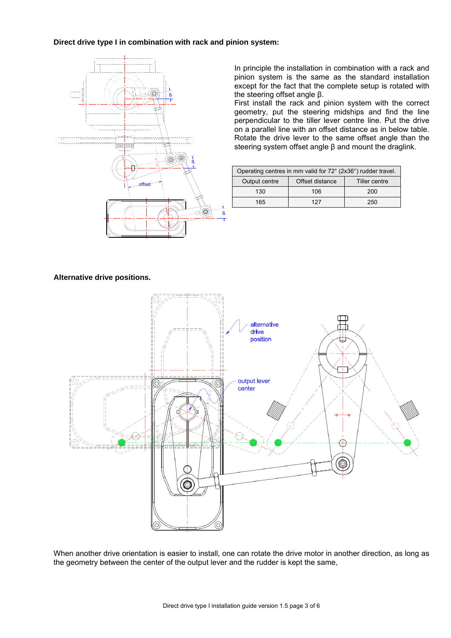### **Direct drive type I in combination with rack and pinion system:**



In principle the installation in combination with a rack and pinion system is the same as the standard installation except for the fact that the complete setup is rotated with the steering offset angle β.

First install the rack and pinion system with the correct geometry, put the steering midships and find the line perpendicular to the tiller lever centre line. Put the drive on a parallel line with an offset distance as in below table. Rotate the drive lever to the same offset angle than the steering system offset angle β and mount the draglink.

| Operating centres in mm valid for 72° (2x36°) rudder travel. |                 |               |  |
|--------------------------------------------------------------|-----------------|---------------|--|
| Output centre                                                | Offset distance | Tiller centre |  |
| 130                                                          | 106             | 200           |  |
| 165                                                          | 127             | 250           |  |

#### **Alternative drive positions.**



When another drive orientation is easier to install, one can rotate the drive motor in another direction, as long as the geometry between the center of the output lever and the rudder is kept the same,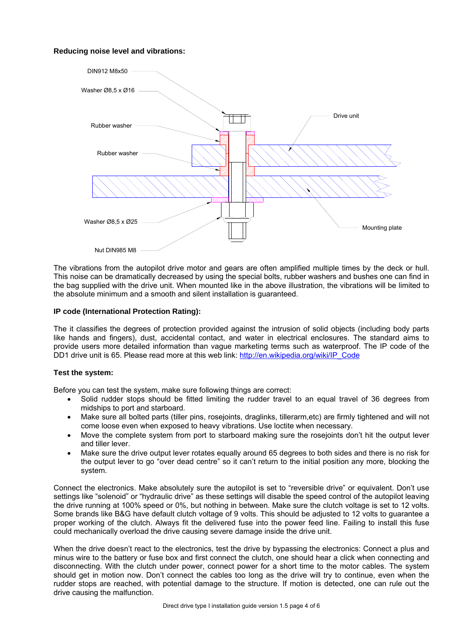## **Reducing noise level and vibrations:**



The vibrations from the autopilot drive motor and gears are often amplified multiple times by the deck or hull. This noise can be dramatically decreased by using the special bolts, rubber washers and bushes one can find in the bag supplied with the drive unit. When mounted like in the above illustration, the vibrations will be limited to the absolute minimum and a smooth and silent installation is guaranteed.

#### **IP code (International Protection Rating):**

The it classifies the degrees of protection provided against the intrusion of solid objects (including body parts like hands and fingers), dust, accidental contact, and water in electrical enclosures. The standard aims to provide users more detailed information than vague marketing terms such as waterproof. The IP code of the DD1 drive unit is 65. Please read more at this web link: http://en.wikipedia.org/wiki/IP\_Code

#### **Test the system:**

Before you can test the system, make sure following things are correct:

- Solid rudder stops should be fitted limiting the rudder travel to an equal travel of 36 degrees from midships to port and starboard.
- Make sure all bolted parts (tiller pins, rosejoints, draglinks, tillerarm,etc) are firmly tightened and will not come loose even when exposed to heavy vibrations. Use loctite when necessary.
- Move the complete system from port to starboard making sure the rosejoints don't hit the output lever and tiller lever.
- Make sure the drive output lever rotates equally around 65 degrees to both sides and there is no risk for the output lever to go "over dead centre" so it can't return to the initial position any more, blocking the system.

Connect the electronics. Make absolutely sure the autopilot is set to "reversible drive" or equivalent. Don't use settings like "solenoid" or "hydraulic drive" as these settings will disable the speed control of the autopilot leaving the drive running at 100% speed or 0%, but nothing in between. Make sure the clutch voltage is set to 12 volts. Some brands like B&G have default clutch voltage of 9 volts. This should be adjusted to 12 volts to quarantee a proper working of the clutch. Always fit the delivered fuse into the power feed line. Failing to install this fuse could mechanically overload the drive causing severe damage inside the drive unit.

When the drive doesn't react to the electronics, test the drive by bypassing the electronics: Connect a plus and minus wire to the battery or fuse box and first connect the clutch, one should hear a click when connecting and disconnecting. With the clutch under power, connect power for a short time to the motor cables. The system should get in motion now. Don't connect the cables too long as the drive will try to continue, even when the rudder stops are reached, with potential damage to the structure. If motion is detected, one can rule out the drive causing the malfunction.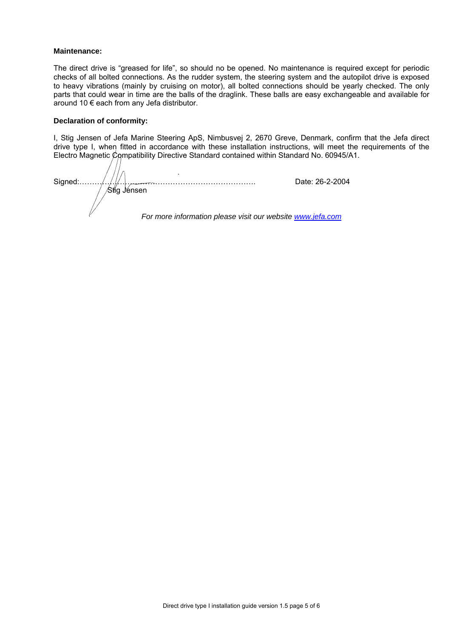#### **Maintenance:**

The direct drive is "greased for life", so should no be opened. No maintenance is required except for periodic checks of all bolted connections. As the rudder system, the steering system and the autopilot drive is exposed to heavy vibrations (mainly by cruising on motor), all bolted connections should be yearly checked. The only parts that could wear in time are the balls of the draglink. These balls are easy exchangeable and available for around 10 € each from any Jefa distributor.

#### **Declaration of conformity:**

I, Stig Jensen of Jefa Marine Steering ApS, Nimbusvej 2, 2670 Greve, Denmark, confirm that the Jefa direct drive type I, when fitted in accordance with these installation instructions, will meet the requirements of the Electro Magnetic Compatibility Directive Standard contained within Standard No. 60945/A1.

 $\mathbf{r}$  Stig Jensen Signed:……………………………………………………………. Date: 26-2-2004 *For more information please visit our website [www.jefa.com](http://www.jefa.com/)*